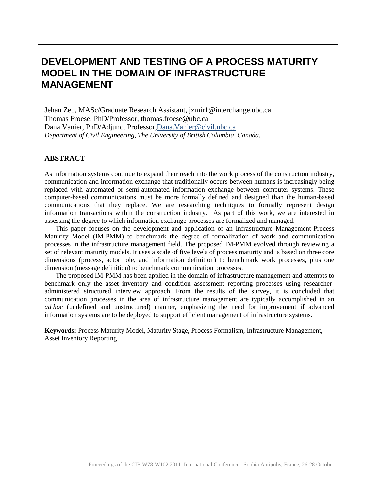# **DEVELOPMENT AND TESTING OF A PROCESS MATURITY MODEL IN THE DOMAIN OF INFRASTRUCTURE MANAGEMENT**

Jehan Zeb, MASc/Graduate Research Assistant, jzmir1@interchange.ubc.ca Thomas Froese, PhD/Professor, thomas.froese@ubc.ca Dana Vanier, PhD/Adjunct Professor,Dana.Vanier@civil.ubc.ca *Department of Civil Engineering, The University of British Columbia, Canada.*

## **ABSTRACT**

As information systems continue to expand their reach into the work process of the construction industry, communication and information exchange that traditionally occurs between humans is increasingly being replaced with automated or semi-automated information exchange between computer systems. These computer-based communications must be more formally defined and designed than the human-based communications that they replace. We are researching techniques to formally represent design information transactions within the construction industry. As part of this work, we are interested in assessing the degree to which information exchange processes are formalized and managed.

This paper focuses on the development and application of an Infrastructure Management-Process Maturity Model (IM-PMM) to benchmark the degree of formalization of work and communication processes in the infrastructure management field. The proposed IM-PMM evolved through reviewing a set of relevant maturity models. It uses a scale of five levels of process maturity and is based on three core dimensions (process, actor role, and information definition) to benchmark work processes, plus one dimension (message definition) to benchmark communication processes.

The proposed IM-PMM has been applied in the domain of infrastructure management and attempts to benchmark only the asset inventory and condition assessment reporting processes using researcheradministered structured interview approach. From the results of the survey, it is concluded that communication processes in the area of infrastructure management are typically accomplished in an *ad hoc* (undefined and unstructured) manner, emphasizing the need for improvement if advanced information systems are to be deployed to support efficient management of infrastructure systems.

**Keywords:** Process Maturity Model, Maturity Stage, Process Formalism, Infrastructure Management, Asset Inventory Reporting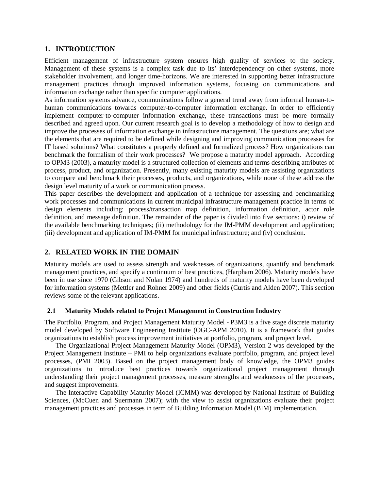# **1. INTRODUCTION**

Efficient management of infrastructure system ensures high quality of services to the society. Management of these systems is a complex task due to its' interdependency on other systems, more stakeholder involvement, and longer time-horizons. We are interested in supporting better infrastructure management practices through improved information systems, focusing on communications and information exchange rather than specific computer applications.

As information systems advance, communications follow a general trend away from informal human-tohuman communications towards computer-to-computer information exchange. In order to efficiently implement computer-to-computer information exchange, these transactions must be more formally described and agreed upon. Our current research goal is to develop a methodology of how to design and improve the processes of information exchange in infrastructure management. The questions are; what are the elements that are required to be defined while designing and improving communication processes for IT based solutions? What constitutes a properly defined and formalized process? How organizations can benchmark the formalism of their work processes? We propose a maturity model approach. According to OPM3 (2003), a maturity model is a structured collection of elements and terms describing attributes of process, product, and organization. Presently, many existing maturity models are assisting organizations to compare and benchmark their processes, products, and organizations, while none of these address the design level maturity of a work or communication process.

This paper describes the development and application of a technique for assessing and benchmarking work processes and communications in current municipal infrastructure management practice in terms of design elements including: process/transaction map definition, information definition, actor role definition, and message definition. The remainder of the paper is divided into five sections: i) review of the available benchmarking techniques; (ii) methodology for the IM-PMM development and application; (iii) development and application of IM-PMM for municipal infrastructure; and (iv) conclusion.

# **2. RELATED WORK IN THE DOMAIN**

Maturity models are used to assess strength and weaknesses of organizations, quantify and benchmark management practices, and specify a continuum of best practices, (Harpham 2006). Maturity models have been in use since 1970 (Gibson and Nolan 1974) and hundreds of maturity models have been developed for information systems (Mettler and Rohner 2009) and other fields (Curtis and Alden 2007). This section reviews some of the relevant applications.

## **2.1 Maturity Models related to Project Management in Construction Industry**

The Portfolio, Program, and Project Management Maturity Model - P3M3 is a five stage discrete maturity model developed by Software Engineering Institute (OGC-APM 2010). It is a framework that guides organizations to establish process improvement initiatives at portfolio, program, and project level.

The Organizational Project Management Maturity Model (OPM3), Version 2 was developed by the Project Management Institute – PMI to help organizations evaluate portfolio, program, and project level processes, (PMI 2003). Based on the project management body of knowledge, the OPM3 guides organizations to introduce best practices towards organizational project management through understanding their project management processes, measure strengths and weaknesses of the processes, and suggest improvements.

The Interactive Capability Maturity Model (ICMM) was developed by National Institute of Building Sciences, (McCuen and Suermann 2007); with the view to assist organizations evaluate their project management practices and processes in term of Building Information Model (BIM) implementation.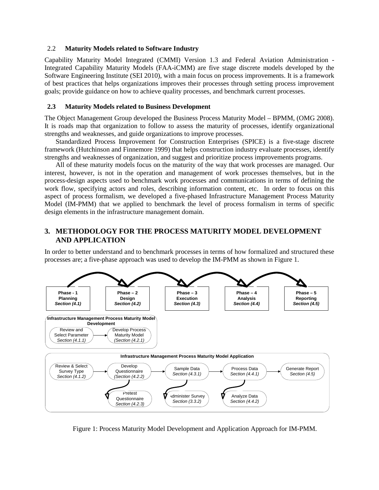#### 2.2 **Maturity Models related to Software Industry**

Capability Maturity Model Integrated (CMMI) Version 1.3 and Federal Aviation Administration - Integrated Capability Maturity Models (FAA-iCMM) are five stage discrete models developed by the Software Engineering Institute (SEI 2010), with a main focus on process improvements. It is a framework of best practices that helps organizations improves their processes through setting process improvement goals; provide guidance on how to achieve quality processes, and benchmark current processes.

#### **2.3 Maturity Models related to Business Development**

The Object Management Group developed the Business Process Maturity Model – BPMM, (OMG 2008). It is roads map that organization to follow to assess the maturity of processes, identify organizational strengths and weaknesses, and guide organizations to improve processes.

Standardized Process Improvement for Construction Enterprises (SPICE) is a five-stage discrete framework (Hutchinson and Finnemore 1999) that helps construction industry evaluate processes, identify strengths and weaknesses of organization, and suggest and prioritize process improvements programs.

All of these maturity models focus on the maturity of the way that work processes are managed. Our interest, however, is not in the operation and management of work processes themselves, but in the process-design aspects used to benchmark work processes and communications in terms of defining the work flow, specifying actors and roles, describing information content, etc. In order to focus on this aspect of process formalism, we developed a five-phased Infrastructure Management Process Maturity Model (IM-PMM) that we applied to benchmark the level of process formalism in terms of specific design elements in the infrastructure management domain.

# **3. METHODOLOGY FOR THE PROCESS MATURITY MODEL DEVELOPMENT AND APPLICATION**

In order to better understand and to benchmark processes in terms of how formalized and structured these processes are; a five-phase approach was used to develop the IM-PMM as shown in Figure 1.



Figure 1: Process Maturity Model Development and Application Approach for IM-PMM.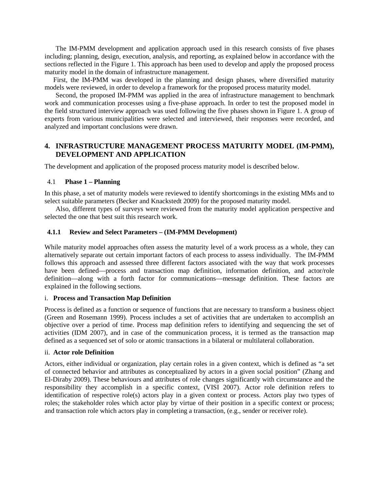The IM-PMM development and application approach used in this research consists of five phases including; planning, design, execution, analysis, and reporting, as explained below in accordance with the sections reflected in the Figure 1. This approach has been used to develop and apply the proposed process maturity model in the domain of infrastructure management.

First, the IM-PMM was developed in the planning and design phases, where diversified maturity models were reviewed, in order to develop a framework for the proposed process maturity model.

Second, the proposed IM-PMM was applied in the area of infrastructure management to benchmark work and communication processes using a five-phase approach. In order to test the proposed model in the field structured interview approach was used following the five phases shown in Figure 1. A group of experts from various municipalities were selected and interviewed, their responses were recorded, and analyzed and important conclusions were drawn.

# **4. INFRASTRUCTURE MANAGEMENT PROCESS MATURITY MODEL (IM-PMM), DEVELOPMENT AND APPLICATION**

The development and application of the proposed process maturity model is described below.

#### 4.1 **Phase 1 – Planning**

In this phase, a set of maturity models were reviewed to identify shortcomings in the existing MMs and to select suitable parameters (Becker and Knackstedt 2009) for the proposed maturity model.

Also, different types of surveys were reviewed from the maturity model application perspective and selected the one that best suit this research work.

#### **4.1.1 Review and Select Parameters – (IM-PMM Development)**

While maturity model approaches often assess the maturity level of a work process as a whole, they can alternatively separate out certain important factors of each process to assess individually. The IM-PMM follows this approach and assessed three different factors associated with the way that work processes have been defined—process and transaction map definition, information definition, and actor/role definition—along with a forth factor for communications—message definition. These factors are explained in the following sections.

#### i. **Process and Transaction Map Definition**

Process is defined as a function or sequence of functions that are necessary to transform a business object (Green and Rosemann 1999). Process includes a set of activities that are undertaken to accomplish an objective over a period of time. Process map definition refers to identifying and sequencing the set of activities (IDM 2007), and in case of the communication process, it is termed as the transaction map defined as a sequenced set of solo or atomic transactions in a bilateral or multilateral collaboration.

#### ii. **Actor role Definition**

Actors, either individual or organization, play certain roles in a given context, which is defined as "a set of connected behavior and attributes as conceptualized by actors in a given social position" (Zhang and El-Diraby 2009). These behaviours and attributes of role changes significantly with circumstance and the responsibility they accomplish in a specific context, (VISI 2007). Actor role definition refers to identification of respective role(s) actors play in a given context or process. Actors play two types of roles; the stakeholder roles which actor play by virtue of their position in a specific context or process; and transaction role which actors play in completing a transaction, (e.g., sender or receiver role).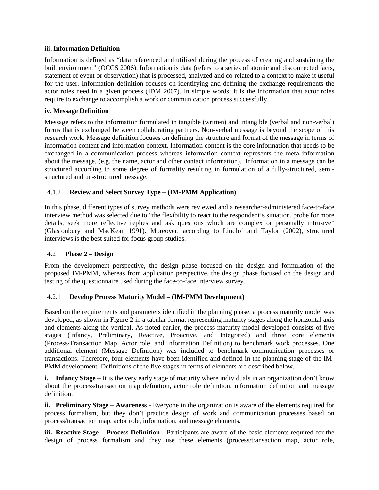#### iii. **Information Definition**

Information is defined as "data referenced and utilized during the process of creating and sustaining the built environment" (OCCS 2006). Information is data (refers to a series of atomic and disconnected facts, statement of event or observation) that is processed, analyzed and co-related to a context to make it useful for the user. Information definition focuses on identifying and defining the exchange requirements the actor roles need in a given process (IDM 2007). In simple words, it is the information that actor roles require to exchange to accomplish a work or communication process successfully.

## **iv. Message Definition**

Message refers to the information formulated in tangible (written) and intangible (verbal and non-verbal) forms that is exchanged between collaborating partners. Non-verbal message is beyond the scope of this research work. Message definition focuses on defining the structure and format of the message in terms of information content and information context. Information content is the core information that needs to be exchanged in a communication process whereas information context represents the meta information about the message, (e.g. the name, actor and other contact information). Information in a message can be structured according to some degree of formality resulting in formulation of a fully-structured, semistructured and un-structured message.

# 4.1.2 **Review and Select Survey Type – (IM-PMM Application)**

In this phase, different types of survey methods were reviewed and a researcher-administered face-to-face interview method was selected due to "the flexibility to react to the respondent's situation, probe for more details, seek more reflective replies and ask questions which are complex or personally intrusive" (Glastonbury and MacKean 1991). Moreover, according to Lindlof and Taylor (2002), structured interviews is the best suited for focus group studies.

## 4.2 **Phase 2 – Design**

From the development perspective, the design phase focused on the design and formulation of the proposed IM-PMM, whereas from application perspective, the design phase focused on the design and testing of the questionnaire used during the face-to-face interview survey.

## 4.2.1 **Develop Process Maturity Model – (IM-PMM Development)**

Based on the requirements and parameters identified in the planning phase, a process maturity model was developed, as shown in Figure 2 in a tabular format representing maturity stages along the horizontal axis and elements along the vertical. As noted earlier, the process maturity model developed consists of five stages (Infancy, Preliminary, Reactive, Proactive, and Integrated) and three core elements (Process/Transaction Map, Actor role, and Information Definition) to benchmark work processes. One additional element (Message Definition) was included to benchmark communication processes or transactions. Therefore, four elements have been identified and defined in the planning stage of the IM-PMM development. Definitions of the five stages in terms of elements are described below.

**i. Infancy Stage** – It is the very early stage of maturity where individuals in an organization don't know about the process/transaction map definition, actor role definition, information definition and message definition.

**ii. Preliminary Stage – Awareness** - Everyone in the organization is aware of the elements required for process formalism, but they don't practice design of work and communication processes based on process/transaction map, actor role, information, and message elements.

**iii. Reactive Stage – Process Definition -** Participants are aware of the basic elements required for the design of process formalism and they use these elements (process/transaction map, actor role,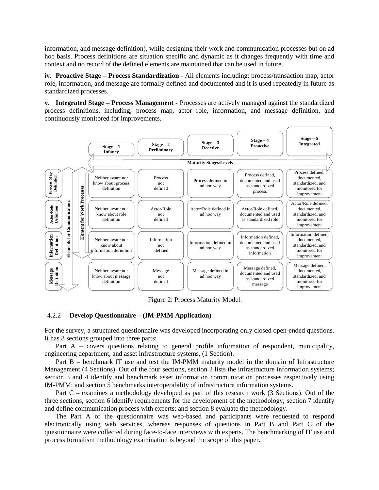information, and message definition), while designing their work and communication processes but on ad hoc basis. Process definitions are situation specific and dynamic as it changes frequently with time and context and no record of the defined elements are maintained that can be used in future.

**iv. Proactive Stage – Process Standardization -** All elements including; process/transaction map, actor role, information, and message are formally defined and documented and it is used repeatedly in future as standardized processes.

**v. Integrated Stage – Process Management -** Processes are actively managed against the standardized process definitions, including; process map, actor role, information, and message definition, and continuously monitored for improvements.



Figure 2: Process Maturity Model.

## 4.2.2 **Develop Questionnaire – (IM-PMM Application)**

For the survey, a structured questionnaire was developed incorporating only closed open-ended questions. It has 8 sections grouped into three parts:

Part A – covers questions relating to general profile information of respondent, municipality, engineering department, and asset infrastructure systems, (1 Section).

Part B – benchmark IT use and test the IM-PMM maturity model in the domain of Infrastructure Management (4 Sections). Out of the four sections, section 2 lists the infrastructure information systems; section 3 and 4 identify and benchmark asset information communication processes respectively using IM-PMM; and section 5 benchmarks interoperability of infrastructure information systems.

Part C – examines a methodology developed as part of this research work (3 Sections). Out of the three sections, section 6 identify requirements for the development of the methodology; section 7 identify and define communication process with experts; and section 8 evaluate the methodology.

The Part A of the questionnaire was web-based and participants were requested to respond electronically using web services, whereas responses of questions in Part B and Part C of the questionnaire were collected during face-to-face interviews with experts. The benchmarking of IT use and process formalism methodology examination is beyond the scope of this paper.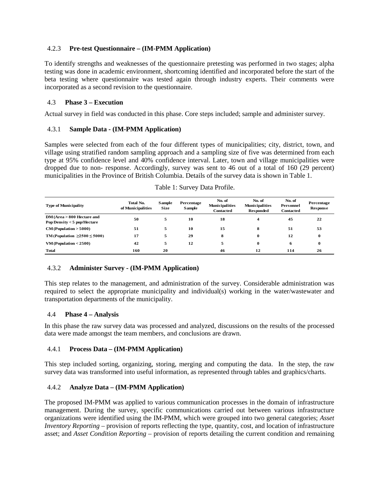# 4.2.3 **Pre-test Questionnaire – (IM-PMM Application)**

To identify strengths and weaknesses of the questionnaire pretesting was performed in two stages; alpha testing was done in academic environment, shortcoming identified and incorporated before the start of the beta testing where questionnaire was tested again through industry experts. Their comments were incorporated as a second revision to the questionnaire.

# 4.3 **Phase 3 – Execution**

Actual survey in field was conducted in this phase. Core steps included; sample and administer survey.

# 4.3.1 **Sample Data - (IM-PMM Application)**

Samples were selected from each of the four different types of municipalities; city, district, town, and village using stratified random sampling approach and a sampling size of five was determined from each type at 95% confidence level and 40% confidence interval. Later, town and village municipalities were dropped due to non- response. Accordingly, survey was sent to 46 out of a total of 160 (29 percent) municipalities in the Province of British Columbia. Details of the survey data is shown in Table 1.

| <b>Type of Municipality</b>                                  | <b>Total No.</b><br>of Municipalities | Sample<br><b>Size</b> | Percentage<br>Sample | No. of<br><b>Municipalities</b><br><b>Contacted</b> | No. of<br><b>Municipalities</b><br><b>Responded</b> | No. of<br>Personnel<br><b>Contacted</b> | Percentage<br><b>Response</b> |
|--------------------------------------------------------------|---------------------------------------|-----------------------|----------------------|-----------------------------------------------------|-----------------------------------------------------|-----------------------------------------|-------------------------------|
| $DM(Area > 800$ Hectare and<br>Pop Density $<$ 5 pop/Hectare | 50                                    | 5                     | 10                   | 18                                                  |                                                     | 45                                      | 22                            |
| $CM$ (Population $> 5000$ )                                  | 51                                    | 5                     | 10                   | 15                                                  | 8                                                   | 51                                      | 53                            |
| TM (Population $\geq 2500 \leq 5000$ )                       | 17                                    | 5                     | 29                   | 8                                                   | 0                                                   | 12                                      | 0                             |
| $VM$ (Population $<$ 2500)                                   | 42                                    | 5                     | 12                   | 5                                                   | $\bf{0}$                                            | 6                                       | 0                             |
| <b>Total</b>                                                 | 160                                   | 20                    |                      | 46                                                  | 12                                                  | 114                                     | 26                            |

# 4.3.2 **Administer Survey - (IM-PMM Application)**

This step relates to the management, and administration of the survey. Considerable administration was required to select the appropriate municipality and individual(s) working in the water/wastewater and transportation departments of the municipality.

## 4.4 **Phase 4 – Analysis**

In this phase the raw survey data was processed and analyzed, discussions on the results of the processed data were made amongst the team members, and conclusions are drawn.

# 4.4.1 **Process Data – (IM-PMM Application)**

This step included sorting, organizing, storing, merging and computing the data. In the step, the raw survey data was transformed into useful information, as represented through tables and graphics/charts.

# 4.4.2 **Analyze Data – (IM-PMM Application)**

The proposed IM-PMM was applied to various communication processes in the domain of infrastructure management. During the survey, specific communications carried out between various infrastructure organizations were identified using the IM-PMM, which were grouped into two general categories; *Asset Inventory Reporting* – provision of reports reflecting the type, quantity, cost, and location of infrastructure asset; and *Asset Condition Reporting* – provision of reports detailing the current condition and remaining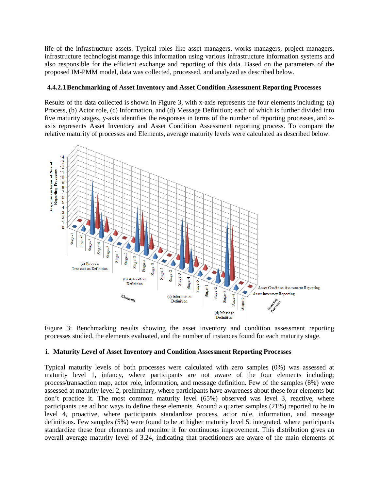life of the infrastructure assets. Typical roles like asset managers, works managers, project managers, infrastructure technologist manage this information using various infrastructure information systems and also responsible for the efficient exchange and reporting of this data. Based on the parameters of the proposed IM-PMM model, data was collected, processed, and analyzed as described below.

## **4.4.2.1Benchmarking of Asset Inventory and Asset Condition Assessment Reporting Processes**

Results of the data collected is shown in Figure 3, with x-axis represents the four elements including; (a) Process, (b) Actor role, (c) Information, and (d) Message Definition; each of which is further divided into five maturity stages, y-axis identifies the responses in terms of the number of reporting processes, and zaxis represents Asset Inventory and Asset Condition Assessment reporting process. To compare the relative maturity of processes and Elements, average maturity levels were calculated as described below.



Figure 3: Benchmarking results showing the asset inventory and condition assessment reporting processes studied, the elements evaluated, and the number of instances found for each maturity stage.

## **i. Maturity Level of Asset Inventory and Condition Assessment Reporting Processes**

Typical maturity levels of both processes were calculated with zero samples (0%) was assessed at maturity level 1, infancy, where participants are not aware of the four elements including; process/transaction map, actor role, information, and message definition. Few of the samples (8%) were assessed at maturity level 2, preliminary, where participants have awareness about these four elements but don't practice it. The most common maturity level (65%) observed was level 3, reactive, where participants use ad hoc ways to define these elements. Around a quarter samples (21%) reported to be in level 4, proactive, where participants standardize process, actor role, information, and message definitions. Few samples (5%) were found to be at higher maturity level 5, integrated, where participants standardize these four elements and monitor it for continuous improvement. This distribution gives an overall average maturity level of 3.24, indicating that practitioners are aware of the main elements of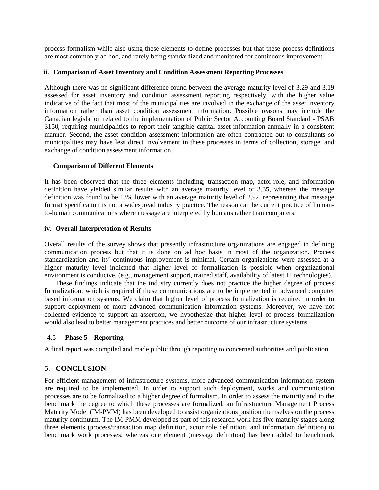process formalism while also using these elements to define processes but that these process definitions are most commonly ad hoc, and rarely being standardized and monitored for continuous improvement.

## **ii. Comparison of Asset Inventory and Condition Assessment Reporting Processes**

Although there was no significant difference found between the average maturity level of 3.29 and 3.19 assessed for asset inventory and condition assessment reporting respectively, with the higher value indicative of the fact that most of the municipalities are involved in the exchange of the asset inventory information rather than asset condition assessment information. Possible reasons may include the Canadian legislation related to the implementation of Public Sector Accounting Board Standard - PSAB 3150, requiring municipalities to report their tangible capital asset information annually in a consistent manner. Second, the asset condition assessment information are often contracted out to consultants so municipalities may have less direct involvement in these processes in terms of collection, storage, and exchange of condition assessment information.

#### **Comparison of Different Elements**

It has been observed that the three elements including; transaction map, actor-role, and information definition have yielded similar results with an average maturity level of 3.35, whereas the message definition was found to be 13% lower with an average maturity level of 2.92, representing that message format specification is not a widespread industry practice. The reason can be current practice of humanto-human communications where message are interpreted by humans rather than computers.

#### **iv. Overall Interpretation of Results**

Overall results of the survey shows that presently infrastructure organizations are engaged in defining communication process but that it is done on ad hoc basis in most of the organization. Process standardization and its' continuous improvement is minimal. Certain organizations were assessed at a higher maturity level indicated that higher level of formalization is possible when organizational environment is conducive, (e.g., management support, trained staff, availability of latest IT technologies).

These findings indicate that the industry currently does not practice the higher degree of process formalization, which is required if these communications are to be implemented in advanced computer based information systems. We claim that higher level of process formalization is required in order to support deployment of more advanced communication information systems. Moreover, we have not collected evidence to support an assertion, we hypothesize that higher level of process formalization would also lead to better management practices and better outcome of our infrastructure systems.

## 4.5 **Phase 5 – Reporting**

A final report was compiled and made public through reporting to concerned authorities and publication.

# 5. **CONCLUSION**

For efficient management of infrastructure systems, more advanced communication information system are required to be implemented. In order to support such deployment, works and communication processes are to be formalized to a higher degree of formalism. In order to assess the maturity and to the benchmark the degree to which these processes are formalized, an Infrastructure Management Process Maturity Model (IM-PMM) has been developed to assist organizations position themselves on the process maturity continuum. The IM-PMM developed as part of this research work has five maturity stages along three elements (process/transaction map definition, actor role definition, and information definition) to benchmark work processes; whereas one element (message definition) has been added to benchmark